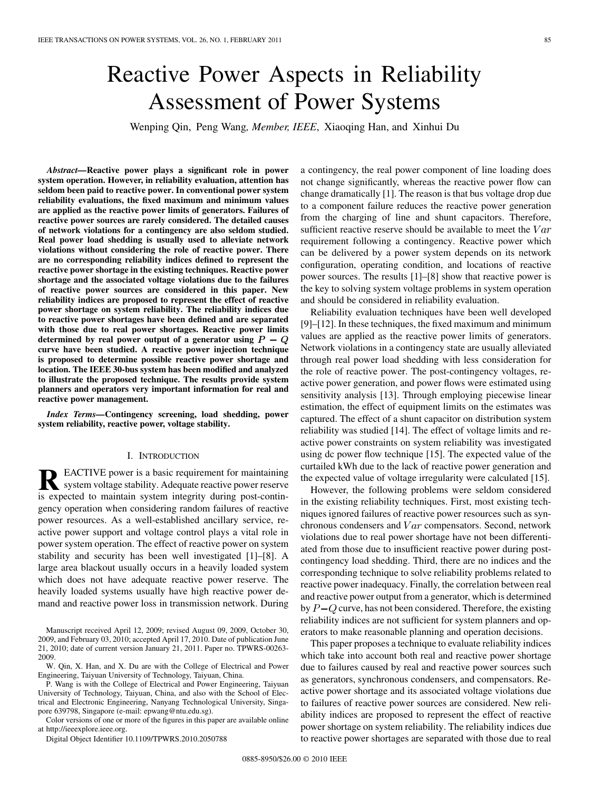# Reactive Power Aspects in Reliability Assessment of Power Systems

Wenping Qin, Peng Wang*, Member, IEEE*, Xiaoqing Han, and Xinhui Du

*Abstract—***Reactive power plays a significant role in power system operation. However, in reliability evaluation, attention has seldom been paid to reactive power. In conventional power system reliability evaluations, the fixed maximum and minimum values are applied as the reactive power limits of generators. Failures of reactive power sources are rarely considered. The detailed causes of network violations for a contingency are also seldom studied. Real power load shedding is usually used to alleviate network violations without considering the role of reactive power. There are no corresponding reliability indices defined to represent the reactive power shortage in the existing techniques. Reactive power shortage and the associated voltage violations due to the failures of reactive power sources are considered in this paper. New reliability indices are proposed to represent the effect of reactive power shortage on system reliability. The reliability indices due to reactive power shortages have been defined and are separated with those due to real power shortages. Reactive power limits** determined by real power output of a generator using  $P - Q$ **curve have been studied. A reactive power injection technique is proposed to determine possible reactive power shortage and location. The IEEE 30-bus system has been modified and analyzed to illustrate the proposed technique. The results provide system planners and operators very important information for real and reactive power management.**

*Index Terms—***Contingency screening, load shedding, power system reliability, reactive power, voltage stability.**

# I. INTRODUCTION

**R** EACTIVE power is a basic requirement for maintaining<br>system voltage stability. Adequate reactive power reserve<br>is a varied to maintain system integrity during post continu is expected to maintain system integrity during post-contingency operation when considering random failures of reactive power resources. As a well-established ancillary service, reactive power support and voltage control plays a vital role in power system operation. The effect of reactive power on system stability and security has been well investigated [1]–[8]. A large area blackout usually occurs in a heavily loaded system which does not have adequate reactive power reserve. The heavily loaded systems usually have high reactive power demand and reactive power loss in transmission network. During

W. Qin, X. Han, and X. Du are with the College of Electrical and Power Engineering, Taiyuan University of Technology, Taiyuan, China.

P. Wang is with the College of Electrical and Power Engineering, Taiyuan University of Technology, Taiyuan, China, and also with the School of Electrical and Electronic Engineering, Nanyang Technological University, Singapore 639798, Singapore (e-mail: epwang@ntu.edu.sg).

Color versions of one or more of the figures in this paper are available online at http://ieeexplore.ieee.org.

Digital Object Identifier 10.1109/TPWRS.2010.2050788

a contingency, the real power component of line loading does not change significantly, whereas the reactive power flow can change dramatically [1]. The reason is that bus voltage drop due to a component failure reduces the reactive power generation from the charging of line and shunt capacitors. Therefore, sufficient reactive reserve should be available to meet the  $Var$ requirement following a contingency. Reactive power which can be delivered by a power system depends on its network configuration, operating condition, and locations of reactive power sources. The results [1]–[8] show that reactive power is the key to solving system voltage problems in system operation and should be considered in reliability evaluation.

Reliability evaluation techniques have been well developed [9]–[12]. In these techniques, the fixed maximum and minimum values are applied as the reactive power limits of generators. Network violations in a contingency state are usually alleviated through real power load shedding with less consideration for the role of reactive power. The post-contingency voltages, reactive power generation, and power flows were estimated using sensitivity analysis [13]. Through employing piecewise linear estimation, the effect of equipment limits on the estimates was captured. The effect of a shunt capacitor on distribution system reliability was studied [14]. The effect of voltage limits and reactive power constraints on system reliability was investigated using dc power flow technique [15]. The expected value of the curtailed kWh due to the lack of reactive power generation and the expected value of voltage irregularity were calculated [15].

However, the following problems were seldom considered in the existing reliability techniques. First, most existing techniques ignored failures of reactive power resources such as synchronous condensers and  $Var$  compensators. Second, network violations due to real power shortage have not been differentiated from those due to insufficient reactive power during postcontingency load shedding. Third, there are no indices and the corresponding technique to solve reliability problems related to reactive power inadequacy. Finally, the correlation between real and reactive power output from a generator, which is determined by  $P-Q$  curve, has not been considered. Therefore, the existing reliability indices are not sufficient for system planners and operators to make reasonable planning and operation decisions.

This paper proposes a technique to evaluate reliability indices which take into account both real and reactive power shortage due to failures caused by real and reactive power sources such as generators, synchronous condensers, and compensators. Reactive power shortage and its associated voltage violations due to failures of reactive power sources are considered. New reliability indices are proposed to represent the effect of reactive power shortage on system reliability. The reliability indices due to reactive power shortages are separated with those due to real

Manuscript received April 12, 2009; revised August 09, 2009, October 30, 2009, and February 03, 2010; accepted April 17, 2010. Date of publication June 21, 2010; date of current version January 21, 2011. Paper no. TPWRS-00263- 2009.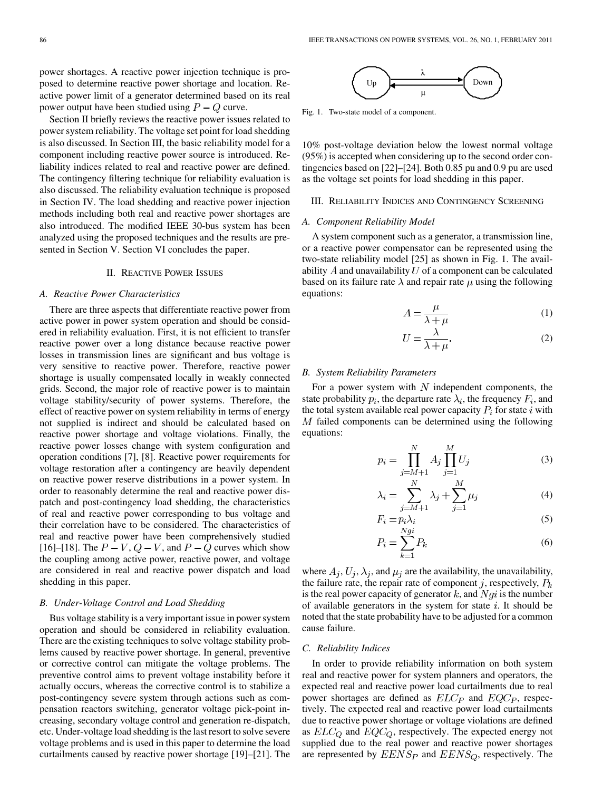power shortages. A reactive power injection technique is proposed to determine reactive power shortage and location. Reactive power limit of a generator determined based on its real power output have been studied using  $P - Q$  curve.

Section II briefly reviews the reactive power issues related to power system reliability. The voltage set point for load shedding is also discussed. In Section III, the basic reliability model for a component including reactive power source is introduced. Reliability indices related to real and reactive power are defined. The contingency filtering technique for reliability evaluation is also discussed. The reliability evaluation technique is proposed in Section IV. The load shedding and reactive power injection methods including both real and reactive power shortages are also introduced. The modified IEEE 30-bus system has been analyzed using the proposed techniques and the results are presented in Section V. Section VI concludes the paper.

## II. REACTIVE POWER ISSUES

#### *A. Reactive Power Characteristics*

There are three aspects that differentiate reactive power from active power in power system operation and should be considered in reliability evaluation. First, it is not efficient to transfer reactive power over a long distance because reactive power losses in transmission lines are significant and bus voltage is very sensitive to reactive power. Therefore, reactive power shortage is usually compensated locally in weakly connected grids. Second, the major role of reactive power is to maintain voltage stability/security of power systems. Therefore, the effect of reactive power on system reliability in terms of energy not supplied is indirect and should be calculated based on reactive power shortage and voltage violations. Finally, the reactive power losses change with system configuration and operation conditions [7], [8]. Reactive power requirements for voltage restoration after a contingency are heavily dependent on reactive power reserve distributions in a power system. In order to reasonably determine the real and reactive power dispatch and post-contingency load shedding, the characteristics of real and reactive power corresponding to bus voltage and their correlation have to be considered. The characteristics of real and reactive power have been comprehensively studied [16]–[18]. The  $P - V$ ,  $Q - V$ , and  $P - Q$  curves which show the coupling among active power, reactive power, and voltage are considered in real and reactive power dispatch and load shedding in this paper.

#### *B. Under-Voltage Control and Load Shedding*

Bus voltage stability is a very important issue in power system operation and should be considered in reliability evaluation. There are the existing techniques to solve voltage stability problems caused by reactive power shortage. In general, preventive or corrective control can mitigate the voltage problems. The preventive control aims to prevent voltage instability before it actually occurs, whereas the corrective control is to stabilize a post-contingency severe system through actions such as compensation reactors switching, generator voltage pick-point increasing, secondary voltage control and generation re-dispatch, etc. Under-voltage load shedding is the last resort to solve severe voltage problems and is used in this paper to determine the load curtailments caused by reactive power shortage [19]–[21]. The



Fig. 1. Two-state model of a component.

10% post-voltage deviation below the lowest normal voltage (95%) is accepted when considering up to the second order contingencies based on [22]–[24]. Both 0.85 pu and 0.9 pu are used as the voltage set points for load shedding in this paper.

#### III. RELIABILITY INDICES AND CONTINGENCY SCREENING

#### *A. Component Reliability Model*

A system component such as a generator, a transmission line, or a reactive power compensator can be represented using the two-state reliability model [25] as shown in Fig. 1. The availability  $\Lambda$  and unavailability  $U$  of a component can be calculated based on its failure rate  $\lambda$  and repair rate  $\mu$  using the following equations:

$$
A = \frac{\mu}{\lambda + \mu} \tag{1}
$$

$$
U = \frac{\lambda}{\lambda + \mu}.\tag{2}
$$

## *B. System Reliability Parameters*

Ù

j

For a power system with  $N$  independent components, the state probability  $p_i$ , the departure rate  $\lambda_i$ , the frequency  $F_i$ , and the total system available real power capacity  $P_i$  for state i with  $M$  failed components can be determined using the following equations:

$$
p_i = \prod_{j=M+1}^{N} A_j \prod_{j=1}^{M} U_j
$$
 (3)

$$
\lambda_i = \sum_{i=1}^{N} \lambda_j + \sum_{i=1}^{M} \mu_i \tag{4}
$$

$$
F_i = p_i \lambda_i
$$
\n
$$
F_i = p_i \lambda_i
$$
\n(5)

$$
P_i = \sum_{k=1}^{Ngi} P_k \tag{6}
$$

where  $A_i, U_i, \lambda_i$ , and  $\mu_i$  are the availability, the unavailability, the failure rate, the repair rate of component j, respectively,  $P_k$ is the real power capacity of generator  $k$ , and  $Nqi$  is the number of available generators in the system for state  $i$ . It should be noted that the state probability have to be adjusted for a common cause failure.

# *C. Reliability Indices*

In order to provide reliability information on both system real and reactive power for system planners and operators, the expected real and reactive power load curtailments due to real power shortages are defined as  $ELC<sub>P</sub>$  and  $EQC<sub>P</sub>$ , respectively. The expected real and reactive power load curtailments due to reactive power shortage or voltage violations are defined as  $ELC_Q$  and  $EQC_Q$ , respectively. The expected energy not supplied due to the real power and reactive power shortages are represented by  $EENS_P$  and  $EENS_Q$ , respectively. The